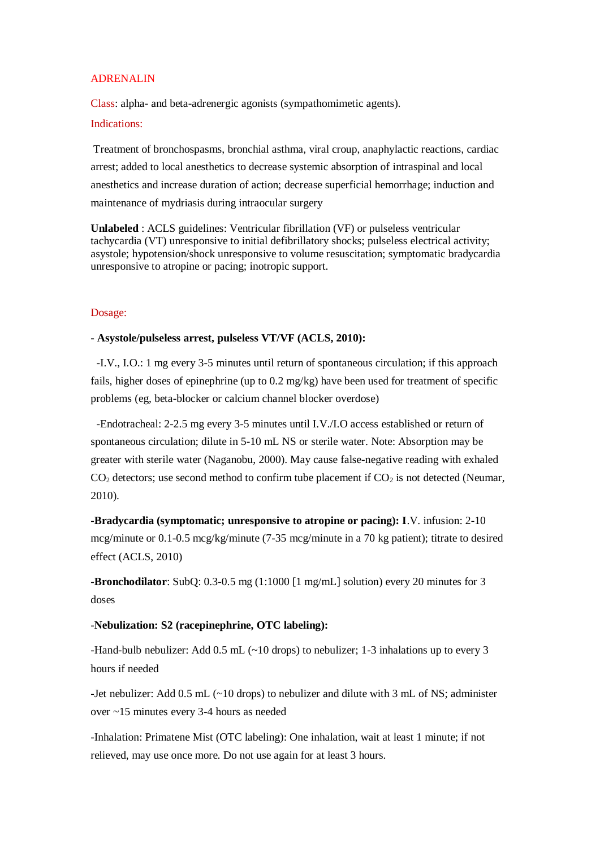## ADRENALIN

Class: alpha- and beta-adrenergic agonists (sympathomimetic agents).

### Indications:

Treatment of bronchospasms, bronchial asthma, viral croup, anaphylactic reactions, cardiac arrest; added to local anesthetics to decrease systemic absorption of intraspinal and local anesthetics and increase duration of action; decrease superficial hemorrhage; induction and maintenance of mydriasis during intraocular surgery

**Unlabeled** : ACLS guidelines: Ventricular fibrillation (VF) or pulseless ventricular tachycardia (VT) unresponsive to initial defibrillatory shocks; pulseless electrical activity; asystole; hypotension/shock unresponsive to volume resuscitation; symptomatic bradycardia unresponsive to atropine or pacing; inotropic support.

## Dosage:

# **- Asystole/pulseless arrest, pulseless VT/VF (ACLS, 2010):**

 -I.V., I.O.: 1 mg every 3-5 minutes until return of spontaneous circulation; if this approach fails, higher doses of epinephrine (up to  $0.2 \text{ mg/kg}$ ) have been used for treatment of specific problems (eg, beta-blocker or calcium channel blocker overdose)

 -Endotracheal: 2-2.5 mg every 3-5 minutes until I.V./I.O access established or return of spontaneous circulation; dilute in 5-10 mL NS or sterile water. Note: Absorption may be greater with sterile water (Naganobu, 2000). May cause false-negative reading with exhaled  $CO<sub>2</sub>$  detectors; use second method to confirm tube placement if  $CO<sub>2</sub>$  is not detected (Neumar, 2010).

**-Bradycardia (symptomatic; unresponsive to atropine or pacing): I**.V. infusion: 2-10 mcg/minute or 0.1-0.5 mcg/kg/minute (7-35 mcg/minute in a 70 kg patient); titrate to desired effect (ACLS, 2010)

**-Bronchodilator**: SubQ: 0.3-0.5 mg (1:1000 [1 mg/mL] solution) every 20 minutes for 3 doses

# -**Nebulization: S2 (racepinephrine, OTC labeling):**

-Hand-bulb nebulizer: Add 0.5 mL (~10 drops) to nebulizer; 1-3 inhalations up to every 3 hours if needed

-Jet nebulizer: Add 0.5 mL (~10 drops) to nebulizer and dilute with 3 mL of NS; administer over ~15 minutes every 3-4 hours as needed

-Inhalation: Primatene Mist (OTC labeling): One inhalation, wait at least 1 minute; if not relieved, may use once more. Do not use again for at least 3 hours.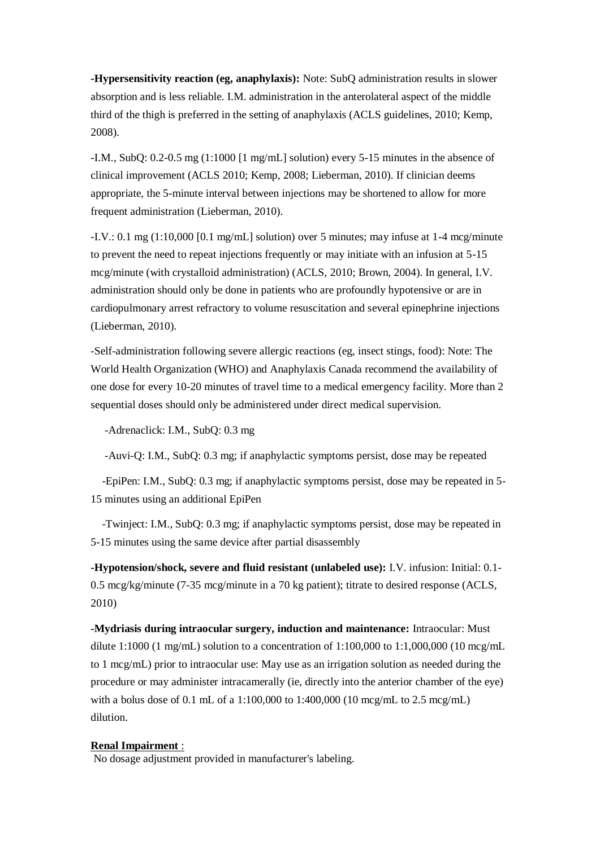**-Hypersensitivity reaction (eg, anaphylaxis):** Note: SubQ administration results in slower absorption and is less reliable. I.M. administration in the anterolateral aspect of the middle third of the thigh is preferred in the setting of anaphylaxis (ACLS guidelines, 2010; Kemp, 2008).

-I.M., SubQ: 0.2-0.5 mg (1:1000 [1 mg/mL] solution) every 5-15 minutes in the absence of clinical improvement (ACLS 2010; Kemp, 2008; Lieberman, 2010). If clinician deems appropriate, the 5-minute interval between injections may be shortened to allow for more frequent administration (Lieberman, 2010).

-I.V.: 0.1 mg (1:10,000 [0.1 mg/mL] solution) over 5 minutes; may infuse at 1-4 mcg/minute to prevent the need to repeat injections frequently or may initiate with an infusion at 5-15 mcg/minute (with crystalloid administration) (ACLS, 2010; Brown, 2004). In general, I.V. administration should only be done in patients who are profoundly hypotensive or are in cardiopulmonary arrest refractory to volume resuscitation and several epinephrine injections (Lieberman, 2010).

-Self-administration following severe allergic reactions (eg, insect stings, food): Note: The World Health Organization (WHO) and Anaphylaxis Canada recommend the availability of one dose for every 10-20 minutes of travel time to a medical emergency facility. More than 2 sequential doses should only be administered under direct medical supervision.

-Adrenaclick: I.M., SubQ: 0.3 mg

-Auvi-Q: I.M., SubQ: 0.3 mg; if anaphylactic symptoms persist, dose may be repeated

 -EpiPen: I.M., SubQ: 0.3 mg; if anaphylactic symptoms persist, dose may be repeated in 5- 15 minutes using an additional EpiPen

 -Twinject: I.M., SubQ: 0.3 mg; if anaphylactic symptoms persist, dose may be repeated in 5-15 minutes using the same device after partial disassembly

**-Hypotension/shock, severe and fluid resistant (unlabeled use):** I.V. infusion: Initial: 0.1- 0.5 mcg/kg/minute (7-35 mcg/minute in a 70 kg patient); titrate to desired response (ACLS, 2010)

**-Mydriasis during intraocular surgery, induction and maintenance:** Intraocular: Must dilute 1:1000 (1 mg/mL) solution to a concentration of 1:100,000 to 1:1,000,000 (10 mcg/mL) to 1 mcg/mL) prior to intraocular use: May use as an irrigation solution as needed during the procedure or may administer intracamerally (ie, directly into the anterior chamber of the eye) with a bolus dose of 0.1 mL of a 1:100,000 to 1:400,000 (10 mcg/mL to 2.5 mcg/mL) dilution.

#### **Renal Impairment** :

No dosage adjustment provided in manufacturer's labeling.